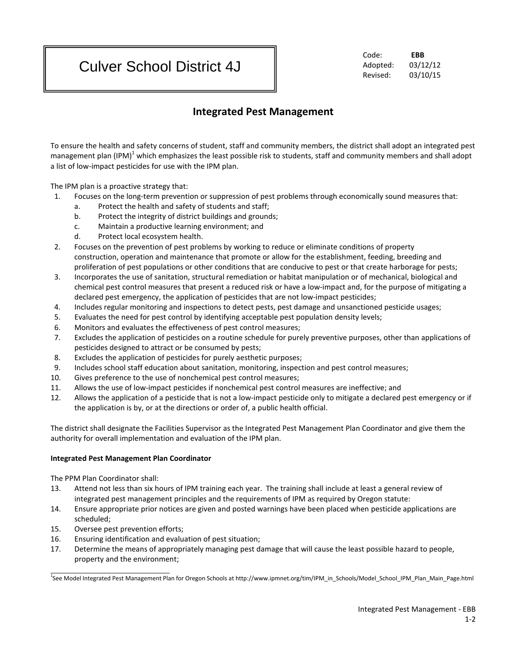# Culver School District 4J

Code: **EBB** Adopted: 03/12/12 Revised: 03/10/15

## **Integrated Pest Management**

To ensure the health and safety concerns of student, staff and community members, the district shall adopt an integrated pest management plan  $(IPM)^1$  which emphasizes the least possible risk to students, staff and community members and shall adopt a list of low-impact pesticides for use with the IPM plan.

The IPM plan is a proactive strategy that:

- 1. Focuses on the long-term prevention or suppression of pest problems through economically sound measures that:
	- a. Protect the health and safety of students and staff;
	- b. Protect the integrity of district buildings and grounds;
	- c. Maintain a productive learning environment; and
	- d. Protect local ecosystem health.
- 2. Focuses on the prevention of pest problems by working to reduce or eliminate conditions of property construction, operation and maintenance that promote or allow for the establishment, feeding, breeding and proliferation of pest populations or other conditions that are conducive to pest or that create harborage for pests;
- 3. Incorporates the use of sanitation, structural remediation or habitat manipulation or of mechanical, biological and chemical pest control measures that present a reduced risk or have a low-impact and, for the purpose of mitigating a declared pest emergency, the application of pesticides that are not low-impact pesticides;
- 4. Includes regular monitoring and inspections to detect pests, pest damage and unsanctioned pesticide usages;
- 5. Evaluates the need for pest control by identifying acceptable pest population density levels;
- 6. Monitors and evaluates the effectiveness of pest control measures;
- 7. Excludes the application of pesticides on a routine schedule for purely preventive purposes, other than applications of pesticides designed to attract or be consumed by pests;
- 8. Excludes the application of pesticides for purely aesthetic purposes;
- 9. Includes school staff education about sanitation, monitoring, inspection and pest control measures;
- 10. Gives preference to the use of nonchemical pest control measures;
- 11. Allows the use of low-impact pesticides if nonchemical pest control measures are ineffective; and
- 12. Allows the application of a pesticide that is not a low-impact pesticide only to mitigate a declared pest emergency or if the application is by, or at the directions or order of, a public health official.

The district shall designate the Facilities Supervisor as the Integrated Pest Management Plan Coordinator and give them the authority for overall implementation and evaluation of the IPM plan.

### **Integrated Pest Management Plan Coordinator**

The PPM Plan Coordinator shall:

- 13. Attend not less than six hours of IPM training each year. The training shall include at least a general review of integrated pest management principles and the requirements of IPM as required by Oregon statute:
- 14. Ensure appropriate prior notices are given and posted warnings have been placed when pesticide applications are scheduled;
- 15. Oversee pest prevention efforts;
- 16. Ensuring identification and evaluation of pest situation;
- 17. Determine the means of appropriately managing pest damage that will cause the least possible hazard to people, property and the environment;

<sup>1</sup> See Model Integrated Pest Management Plan for Oregon Schools at http://www.ipmnet.org/tim/IPM\_in\_Schools/Model\_School\_IPM\_Plan\_Main\_Page.html